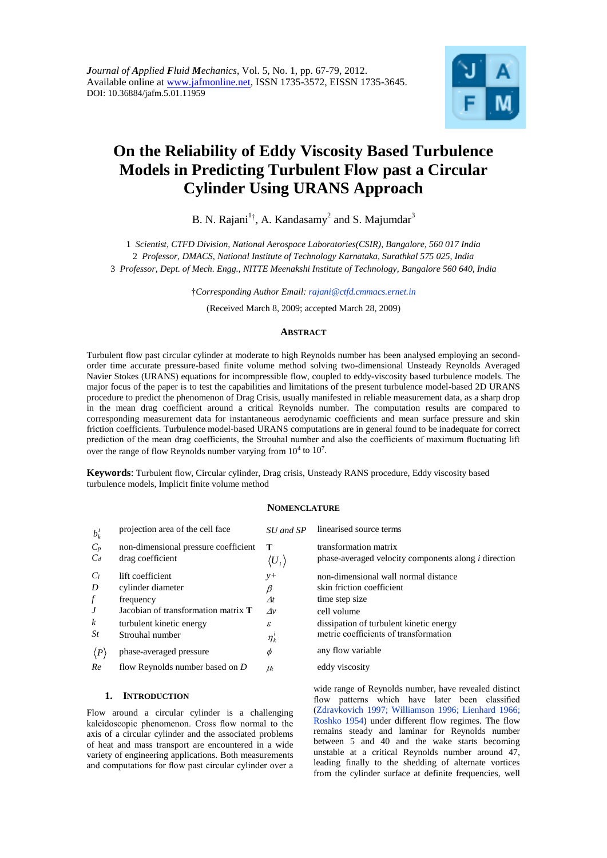

# **On the Reliability of Eddy Viscosity Based Turbulence Models in Predicting Turbulent Flow past a Circular Cylinder Using URANS Approach**

B. N. Rajani<sup>1†</sup>, A. Kandasamy<sup>2</sup> and S. Majumdar<sup>3</sup>

1 *Scientist, CTFD Division, National Aerospace Laboratories(CSIR), Bangalore, 560 017 India* 2 *Professor, DMACS, National Institute of Technology Karnataka, Surathkal 575 025, India* 3 *Professor, Dept. of Mech. Engg., NITTE Meenakshi Institute of Technology, Bangalore 560 640, India*

†*Corresponding Author Email: rajani@ctfd.cmmacs.ernet.in*

(Received March 8, 2009; accepted March 28, 2009)

## **ABSTRACT**

Turbulent flow past circular cylinder at moderate to high Reynolds number has been analysed employing an secondorder time accurate pressure-based finite volume method solving two-dimensional Unsteady Reynolds Averaged Navier Stokes (URANS) equations for incompressible flow, coupled to eddy-viscosity based turbulence models. The major focus of the paper is to test the capabilities and limitations of the present turbulence model-based 2D URANS procedure to predict the phenomenon of Drag Crisis, usually manifested in reliable measurement data, as a sharp drop in the mean drag coefficient around a critical Reynolds number. The computation results are compared to corresponding measurement data for instantaneous aerodynamic coefficients and mean surface pressure and skin friction coefficients. Turbulence model-based URANS computations are in general found to be inadequate for correct prediction of the mean drag coefficients, the Strouhal number and also the coefficients of maximum fluctuating lift over the range of flow Reynolds number varying from  $10^4$  to  $10^7$ .

**Keywords**: Turbulent flow, Circular cylinder, Drag crisis, Unsteady RANS procedure, Eddy viscosity based turbulence models, Implicit finite volume method

# **NOMENCLATURE**

| $b_k^i$             | projection area of the cell face           | SU and SP               | linearised source terms                                     |
|---------------------|--------------------------------------------|-------------------------|-------------------------------------------------------------|
| $C_p$               | non-dimensional pressure coefficient       | т                       | transformation matrix                                       |
| $C_d$               | drag coefficient                           | $\langle {U}_i \rangle$ | phase-averaged velocity components along <i>i</i> direction |
| $C_l$               | lift coefficient                           | $y+$                    | non-dimensional wall normal distance                        |
| D                   | cylinder diameter                          | β                       | skin friction coefficient                                   |
| $\boldsymbol{f}$    | frequency                                  | $\varDelta t$           | time step size                                              |
| J                   | Jacobian of transformation matrix <b>T</b> | $\Lambda v$             | cell volume                                                 |
| k                   | turbulent kinetic energy                   | ε                       | dissipation of turbulent kinetic energy                     |
| St                  | Strouhal number                            | $\eta_k^{\iota}$        | metric coefficients of transformation                       |
| $\langle P \rangle$ | phase-averaged pressure                    | Φ                       | any flow variable                                           |
| Re                  | flow Reynolds number based on $D$          | $\mu$                   | eddy viscosity                                              |

## **1. INTRODUCTION**

Flow around a circular cylinder is a challenging kaleidoscopic phenomenon. Cross flow normal to the axis of a circular cylinder and the associated problems of heat and mass transport are encountered in a wide variety of engineering applications. Both measurements and computations for flow past circular cylinder over a wide range of Reynolds number, have revealed distinct flow patterns which have later been classified (Zdravkovich 1997; Williamson 1996; Lienhard 1966; Roshko 1954) under different flow regimes. The flow remains steady and laminar for Reynolds number between 5 and 40 and the wake starts becoming unstable at a critical Reynolds number around 47, leading finally to the shedding of alternate vortices from the cylinder surface at definite frequencies, well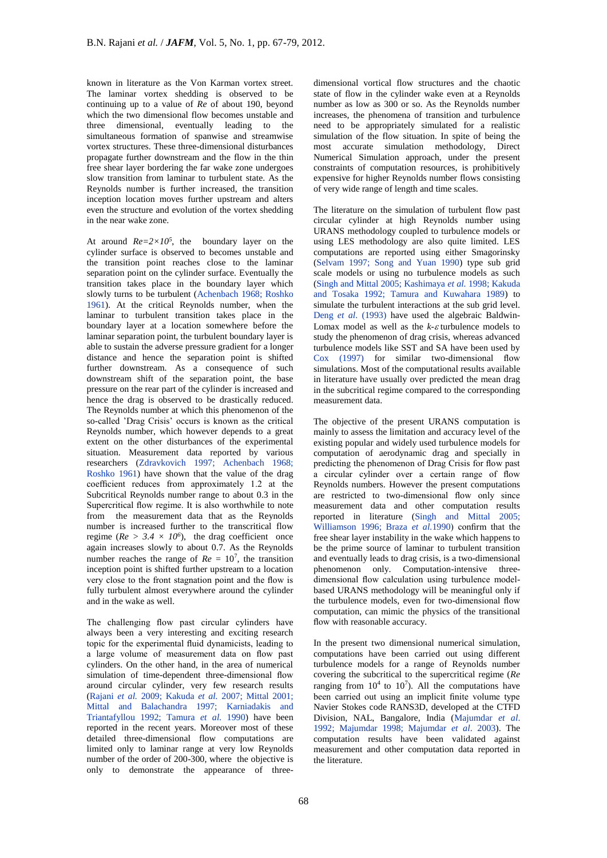known in literature as the Von Karman vortex street. The laminar vortex shedding is observed to be continuing up to a value of *Re* of about 190, beyond which the two dimensional flow becomes unstable and three dimensional, eventually leading to the simultaneous formation of spanwise and streamwise vortex structures. These three-dimensional disturbances propagate further downstream and the flow in the thin free shear layer bordering the far wake zone undergoes slow transition from laminar to turbulent state. As the Reynolds number is further increased, the transition inception location moves further upstream and alters even the structure and evolution of the vortex shedding in the near wake zone.

At around  $Re=2\times10^5$ , the boundary layer on the cylinder surface is observed to becomes unstable and the transition point reaches close to the laminar separation point on the cylinder surface. Eventually the transition takes place in the boundary layer which slowly turns to be turbulent (Achenbach 1968; Roshko 1961). At the critical Reynolds number, when the laminar to turbulent transition takes place in the boundary layer at a location somewhere before the laminar separation point, the turbulent boundary layer is able to sustain the adverse pressure gradient for a longer distance and hence the separation point is shifted further downstream. As a consequence of such downstream shift of the separation point, the base pressure on the rear part of the cylinder is increased and hence the drag is observed to be drastically reduced. The Reynolds number at which this phenomenon of the so-called 'Drag Crisis' occurs is known as the critical Reynolds number, which however depends to a great extent on the other disturbances of the experimental situation. Measurement data reported by various researchers (Zdravkovich 1997; Achenbach 1968; Roshko 1961) have shown that the value of the drag coefficient reduces from approximately 1.2 at the Subcritical Reynolds number range to about 0.3 in the Supercritical flow regime. It is also worthwhile to note from the measurement data that as the Reynolds number is increased further to the transcritical flow regime ( $Re > 3.4 \times 10^6$ ), the drag coefficient once again increases slowly to about 0.7. As the Reynolds number reaches the range of  $Re = 10^7$ , the transition inception point is shifted further upstream to a location very close to the front stagnation point and the flow is fully turbulent almost everywhere around the cylinder and in the wake as well.

The challenging flow past circular cylinders have always been a very interesting and exciting research topic for the experimental fluid dynamicists, leading to a large volume of measurement data on flow past cylinders. On the other hand, in the area of numerical simulation of time-dependent three-dimensional flow around circular cylinder, very few research results (Rajani *et al.* 2009; Kakuda *et al.* 2007; Mittal 2001; Mittal and Balachandra 1997; Karniadakis and Triantafyllou 1992; Tamura *et al.* 1990) have been reported in the recent years. Moreover most of these detailed three-dimensional flow computations are limited only to laminar range at very low Reynolds number of the order of 200-300, where the objective is only to demonstrate the appearance of three-

dimensional vortical flow structures and the chaotic state of flow in the cylinder wake even at a Reynolds number as low as 300 or so. As the Reynolds number increases, the phenomena of transition and turbulence need to be appropriately simulated for a realistic simulation of the flow situation. In spite of being the most accurate simulation methodology, Direct Numerical Simulation approach, under the present constraints of computation resources, is prohibitively expensive for higher Reynolds number flows consisting of very wide range of length and time scales.

The literature on the simulation of turbulent flow past circular cylinder at high Reynolds number using URANS methodology coupled to turbulence models or using LES methodology are also quite limited. LES computations are reported using either Smagorinsky (Selvam 1997; Song and Yuan 1990) type sub grid scale models or using no turbulence models as such (Singh and Mittal 2005; Kashimaya *et al.* 1998; Kakuda and Tosaka 1992; Tamura and Kuwahara 1989) to simulate the turbulent interactions at the sub grid level. Deng *et al*. (1993) have used the algebraic Baldwin-Lomax model as well as the  $k$ - $\varepsilon$  turbulence models to study the phenomenon of drag crisis, whereas advanced turbulence models like SST and SA have been used by Cox (1997) for similar two-dimensional flow simulations. Most of the computational results available in literature have usually over predicted the mean drag in the subcritical regime compared to the corresponding measurement data.

The objective of the present URANS computation is mainly to assess the limitation and accuracy level of the existing popular and widely used turbulence models for computation of aerodynamic drag and specially in predicting the phenomenon of Drag Crisis for flow past a circular cylinder over a certain range of flow Reynolds numbers. However the present computations are restricted to two-dimensional flow only since measurement data and other computation results reported in literature (Singh and Mittal 2005; Williamson 1996; Braza *et al.*1990) confirm that the free shear layer instability in the wake which happens to be the prime source of laminar to turbulent transition and eventually leads to drag crisis, is a two-dimensional phenomenon only. Computation-intensive threedimensional flow calculation using turbulence modelbased URANS methodology will be meaningful only if the turbulence models, even for two-dimensional flow computation, can mimic the physics of the transitional flow with reasonable accuracy.

In the present two dimensional numerical simulation, computations have been carried out using different turbulence models for a range of Reynolds number covering the subcritical to the supercritical regime (*Re* ranging from  $10^4$  to  $10^7$ ). All the computations have been carried out using an implicit finite volume type Navier Stokes code RANS3D, developed at the CTFD Division, NAL, Bangalore, India (Majumdar *et al*. 1992; Majumdar 1998; Majumdar *et al*. 2003). The computation results have been validated against measurement and other computation data reported in the literature.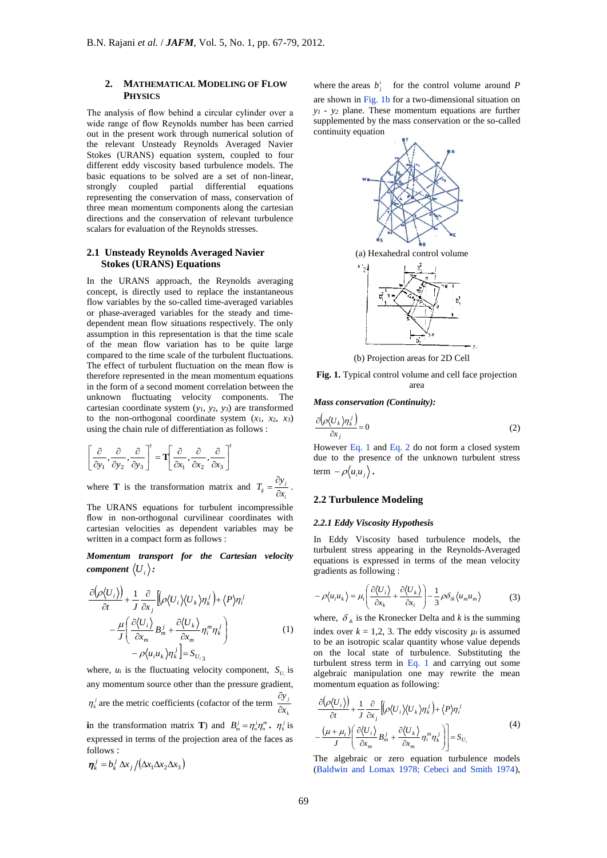# **2. MATHEMATICAL MODELING OF FLOW PHYSICS**

The analysis of flow behind a circular cylinder over a wide range of flow Reynolds number has been carried out in the present work through numerical solution of the relevant Unsteady Reynolds Averaged Navier Stokes (URANS) equation system, coupled to four different eddy viscosity based turbulence models. The basic equations to be solved are a set of non-linear, strongly coupled partial differential equations representing the conservation of mass, conservation of three mean momentum components along the cartesian directions and the conservation of relevant turbulence scalars for evaluation of the Reynolds stresses.

#### **2.1 Unsteady Reynolds Averaged Navier Stokes (URANS) Equations**

In the URANS approach, the Reynolds averaging concept, is directly used to replace the instantaneous flow variables by the so-called time-averaged variables or phase-averaged variables for the steady and timedependent mean flow situations respectively. The only assumption in this representation is that the time scale of the mean flow variation has to be quite large compared to the time scale of the turbulent fluctuations. The effect of turbulent fluctuation on the mean flow is therefore represented in the mean momentum equations in the form of a second moment correlation between the unknown fluctuating velocity components. The cartesian coordinate system (*y*1, *y*2, *y*3) are transformed to the non-orthogonal coordinate system  $(x_1, x_2, x_3)$ using the chain rule of differentiation as follows :

$$
\left[\frac{\partial}{\partial y_1},\frac{\partial}{\partial y_2},\frac{\partial}{\partial y_3}\right]' = \mathbf{T} \left[\frac{\partial}{\partial x_1},\frac{\partial}{\partial x_2},\frac{\partial}{\partial x_3}\right]'
$$

where **T** is the transformation matrix and  $\vec{y} = \frac{\partial y_j}{\partial x_i}$  $T_{ij} = \frac{\partial y}{\partial x}$  $=\frac{\partial y_j}{\partial x_j}$ .

The URANS equations for turbulent incompressible flow in non-orthogonal curvilinear coordinates with cartesian velocities as dependent variables may be written in a compact form as follows :

*Momentum transport for the Cartesian velocity*  component  $\langle U_{\scriptscriptstyle i} \rangle$  :

$$
\frac{\partial(\rho\langle U_i \rangle)}{\partial t} + \frac{1}{J} \frac{\partial}{\partial x_j} \left[ (\rho \langle U_i \rangle \langle U_k \rangle \eta_i^j) + \langle P \rangle \eta_i^j - \frac{\mu}{J} \left( \frac{\partial \langle U_i \rangle}{\partial x_m} B_m^j + \frac{\partial \langle U_k \rangle}{\partial x_m} \eta_i^m \eta_i^j \right) - \rho \langle u_i u_k \rangle \eta_i^j \right] = S_{U_{i3}}
$$
\n(1)

where,  $u_i$  is the fluctuating velocity component,  $S_{U_i}$  is any momentum source other than the pressure gradient,  $\eta_k^j$  are the metric coefficients (cofactor of the term *k j x y*  $\partial$  $\partial$ 

**i**n the transformation matrix **T**) and  $B_m^j = \eta_m^j \eta_m^m$ .  $\eta_k^j$  is expressed in terms of the projection area of the faces as follows :

$$
\boldsymbol{\eta}_k^j = b_k^j \Delta x_j / (\Delta x_1 \Delta x_2 \Delta x_3)
$$

where the areas  $b_j^i$  for the control volume around *P* 

are shown in Fig. 1b for a two-dimensional situation on *y<sup>1</sup> - y<sup>2</sup>* plane. These momentum equations are further supplemented by the mass conservation or the so-called continuity equation



(b) Projection areas for 2D Cell

**Fig. 1.** Typical control volume and cell face projection area

*Mass conservation (Continuity):*

$$
\frac{\partial \left(\rho \langle U_k \rangle \eta_k^j \right)}{\partial x_j} = 0 \tag{2}
$$

However Eq. 1 and Eq. 2 do not form a closed system due to the presence of the unknown turbulent stress term  $-\rho\langle u_i u_j \rangle$ .

## **2.2 Turbulence Modeling**

### *2.2.1 Eddy Viscosity Hypothesis*

In Eddy Viscosity based turbulence models, the turbulent stress appearing in the Reynolds-Averaged equations is expressed in terms of the mean velocity gradients as following :

$$
-\rho\langle u_i u_k \rangle = \mu_t \left( \frac{\partial \langle U_i \rangle}{\partial x_k} + \frac{\partial \langle U_k \rangle}{\partial x_i} \right) - \frac{1}{3} \rho \delta_{ik} \langle u_m u_m \rangle \tag{3}
$$

where,  $\delta_{ik}$  is the Kronecker Delta and *k* is the summing index over  $k = 1.2$ , 3. The eddy viscosity  $u_t$  is assumed to be an isotropic scalar quantity whose value depends on the local state of turbulence. Substituting the turbulent stress term in Eq. 1 and carrying out some algebraic manipulation one may rewrite the mean momentum equation as following:

$$
\frac{\partial(\rho\langle U_i\rangle)}{\partial t} + \frac{1}{J} \frac{\partial}{\partial x_j} \left[ \rho \langle U_i \rangle \langle U_k \rangle \eta_i^j \right] + \langle P \rangle \eta_i^j
$$
\n
$$
- \frac{(\mu + \mu_t)}{J} \left( \frac{\partial \langle U_i \rangle}{\partial x_m} B_m^j + \frac{\partial \langle U_k \rangle}{\partial x_m} \eta_i^m \eta_i^j \right) \bigg] = S_{U_i}
$$
\n(4)

The algebraic or zero equation turbulence models (Baldwin and Lomax 1978; Cebeci and Smith 1974),

*i*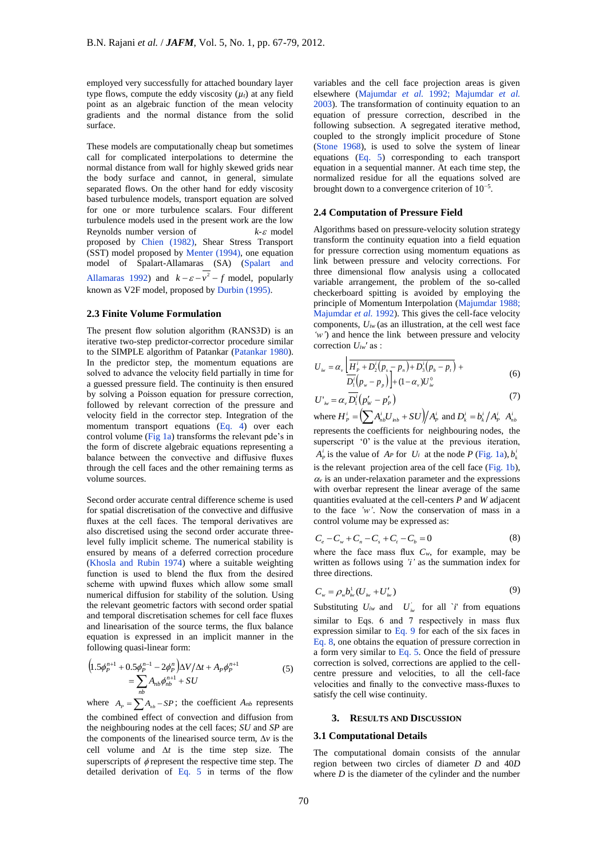employed very successfully for attached boundary layer type flows, compute the eddy viscosity  $(\mu_t)$  at any field point as an algebraic function of the mean velocity gradients and the normal distance from the solid surface.

These models are computationally cheap but sometimes call for complicated interpolations to determine the normal distance from wall for highly skewed grids near the body surface and cannot, in general, simulate separated flows. On the other hand for eddy viscosity based turbulence models, transport equation are solved for one or more turbulence scalars. Four different turbulence models used in the present work are the low Reynolds number version of  $k-\varepsilon$  model proposed by Chien (1982), Shear Stress Transport (SST) model proposed by Menter (1994), one equation model of Spalart-Allamaras (SA) (Spalart and Allamaras 1992) and  $k - \varepsilon - v^2 - f$  model, popularly known as V2F model, proposed by Durbin (1995).

#### **2.3 Finite Volume Formulation**

The present flow solution algorithm (RANS3D) is an iterative two-step predictor-corrector procedure similar to the SIMPLE algorithm of Patankar (Patankar 1980). In the predictor step, the momentum equations are solved to advance the velocity field partially in time for a guessed pressure field. The continuity is then ensured by solving a Poisson equation for pressure correction, followed by relevant correction of the pressure and velocity field in the corrector step. Integration of the momentum transport equations (Eq. 4) over each control volume (Fig 1a) transforms the relevant pde's in the form of discrete algebraic equations representing a balance between the convective and diffusive fluxes through the cell faces and the other remaining terms as volume sources.

Second order accurate central difference scheme is used for spatial discretisation of the convective and diffusive fluxes at the cell faces. The temporal derivatives are also discretised using the second order accurate threelevel fully implicit scheme. The numerical stability is ensured by means of a deferred correction procedure (Khosla and Rubin 1974) where a suitable weighting function is used to blend the flux from the desired scheme with upwind fluxes which allow some small numerical diffusion for stability of the solution. Using the relevant geometric factors with second order spatial and temporal discretisation schemes for cell face fluxes and linearisation of the source terms, the flux balance equation is expressed in an implicit manner in the following quasi-linear form:

$$
\left(1.5\phi_P^{n+1} + 0.5\phi_P^{n-1} - 2\phi_P^n\right)\Delta V/\Delta t + A_P\phi_P^{n+1}
$$
\n
$$
= \sum_{nb} A_{nb}\phi_{nb}^{n+1} + SU
$$
\n(5)

where  $A_p = \sum A_{nb} - SP$ ; the coefficient  $A_{nb}$  represents the combined effect of convection and diffusion from the neighbouring nodes at the cell faces; *SU* and *SP* are the components of the linearised source term,  $\Delta v$  is the cell volume and  $\Delta t$  is the time step size. The superscripts of  $\phi$  represent the respective time step. The detailed derivation of Eq. 5 in terms of the flow

variables and the cell face projection areas is given elsewhere (Majumdar *et al.* 1992; Majumdar *et al.* 2003). The transformation of continuity equation to an equation of pressure correction, described in the following subsection. A segregated iterative method, coupled to the strongly implicit procedure of Stone (Stone 1968), is used to solve the system of linear equations (Eq. 5) corresponding to each transport equation in a sequential manner. At each time step, the normalized residue for all the equations solved are brought down to a convergence criterion of 10−5 .

#### **2.4 Computation of Pressure Field**

Algorithms based on pressure-velocity solution strategy transform the continuity equation into a field equation for pressure correction using momentum equations as link between pressure and velocity corrections. For three dimensional flow analysis using a collocated variable arrangement, the problem of the so-called checkerboard spitting is avoided by employing the principle of Momentum Interpolation (Majumdar 1988; Majumdar *et al.* 1992). This gives the cell-face velocity components, *Uiw* (as an illustration, at the cell west face *'w'*) and hence the link between pressure and velocity correction *Uiw*′ as :

$$
U_{i w} = \alpha_{v} \left[ \frac{\overline{H}_{P}^{i} + D_{2}^{i}(p_{s} - p_{n}) + D_{3}^{i}(p_{b} - p_{t})}{D_{1}^{i}(p_{w} - p_{p})} \right] + (1 - \alpha_{v}) U_{i w}^{0}
$$
 (6)

$$
U'_{iv} = \alpha_v \overline{D_1^i (p'_w - p'_P)}
$$
\n<sup>(7)</sup>

where  $H_P^i = \left(\sum A_{nb}^i U_{inb} + SU\right)/A_P^i$  and  $D_k^i = b_k^i/A_P^i$   $A_{nb}^i$ represents the coefficients for neighbouring nodes, the superscript '0' is the value at the previous iteration,  $A_p^i$  is the value of  $A_p$  for  $U_i$  at the node  $P$  (Fig. 1a),  $b_k^i$ is the relevant projection area of the cell face (Fig. 1b),  $\alpha$  is an under-relaxation parameter and the expressions with overbar represent the linear average of the same quantities evaluated at the cell-centers *P* and *W* adjacent to the face *'w'*. Now the conservation of mass in a control volume may be expressed as:

$$
C_e - C_w + C_n - C_s + C_t - C_b = 0 \tag{8}
$$

where the face mass flux  $C_w$ , for example, may be written as follows using *'i'* as the summation index for three directions.

$$
C_{w} = \rho_{w} b_{iw}^{1} (U_{iw} + U'_{iw})
$$
 (9)

Substituting  $U_{iw}$  and  $U_{iw}$  for all  $\check{i}$  from equations similar to Eqs. 6 and 7 respectively in mass flux expression similar to Eq. 9 for each of the six faces in Eq. 8, one obtains the equation of pressure correction in a form very similar to Eq. 5. Once the field of pressure correction is solved, corrections are applied to the cellcentre pressure and velocities, to all the cell-face velocities and finally to the convective mass-fluxes to satisfy the cell wise continuity.

## **3. RESULTS AND DISCUSSION**

#### **3.1 Computational Details**

The computational domain consists of the annular region between two circles of diameter *D* and 40*D*  where *D* is the diameter of the cylinder and the number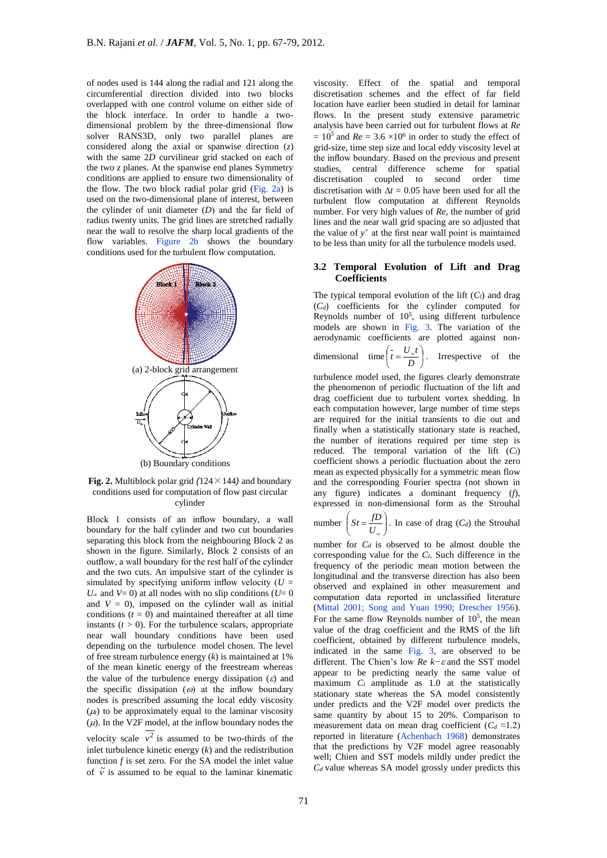of nodes used is 144 along the radial and 121 along the circumferential direction divided into two blocks overlapped with one control volume on either side of the block interface. In order to handle a twodimensional problem by the three-dimensional flow solver RANS3D, only two parallel planes are considered along the axial or spanwise direction (*z*) with the same 2*D* curvilinear grid stacked on each of the two *z* planes. At the spanwise end planes Symmetry conditions are applied to ensure two dimensionality of the flow. The two block radial polar grid (Fig. 2a) is used on the two-dimensional plane of interest, between the cylinder of unit diameter (*D*) and the far field of radius twenty units. The grid lines are stretched radially near the wall to resolve the sharp local gradients of the flow variables. Figure 2b shows the boundary conditions used for the turbulent flow computation.



**Fig. 2.** Multiblock polar grid *(*124×144*)* and boundary conditions used for computation of flow past circular cylinder

Block 1 consists of an inflow boundary, a wall boundary for the half cylinder and two cut boundaries separating this block from the neighbouring Block 2 as shown in the figure. Similarly, Block 2 consists of an outflow, a wall boundary for the rest half of the cylinder and the two cuts. An impulsive start of the cylinder is simulated by specifying uniform inflow velocity  $(U =$  $U_{\infty}$  and  $V=0$ ) at all nodes with no slip conditions ( $U=0$ and  $V = 0$ ), imposed on the cylinder wall as initial conditions  $(t = 0)$  and maintained thereafter at all time instants  $(t > 0)$ . For the turbulence scalars, appropriate near wall boundary conditions have been used depending on the turbulence model chosen. The level of free stream turbulence energy (*k*) is maintained at 1% of the mean kinetic energy of the freestream whereas the value of the turbulence energy dissipation  $(\varepsilon)$  and the specific dissipation ( $\omega$ ) at the inflow boundary nodes is prescribed assuming the local eddy viscosity  $(\mu)$  to be approximately equal to the laminar viscosity  $(\mu)$ . In the V2F model, at the inflow boundary nodes the velocity scale  $v^2$  is assumed to be two-thirds of the inlet turbulence kinetic energy (*k*) and the redistribution function *f* is set zero. For the SA model the inlet value of  $\tilde{v}$  is assumed to be equal to the laminar kinematic

viscosity. Effect of the spatial and temporal discretisation schemes and the effect of far field location have earlier been studied in detail for laminar flows. In the present study extensive parametric analysis have been carried out for turbulent flows at *Re*  $= 10<sup>5</sup>$  and *Re* = 3.6  $\times 10<sup>6</sup>$  in order to study the effect of grid-size, time step size and local eddy viscosity level at the inflow boundary. Based on the previous and present studies, central difference scheme for spatial discretisation coupled to second order time discretisation with  $\Delta t = 0.05$  have been used for all the turbulent flow computation at different Reynolds number. For very high values of *Re*, the number of grid lines and the near wall grid spacing are so adjusted that the value of  $y$ <sup>+</sup> at the first near wall point is maintained to be less than unity for all the turbulence models used.

#### **3.2 Temporal Evolution of Lift and Drag Coefficients**

The typical temporal evolution of the lift  $(C_l)$  and drag  $(C_d)$  coefficients for the cylinder computed for Reynolds number of  $10<sup>5</sup>$ , using different turbulence models are shown in Fig. 3. The variation of the aerodynamic coefficients are plotted against nondimensional time  $t = \frac{6\pi}{100}$ )  $\left(t=\frac{U_{\infty}t}{I}\right)$ l  $\left(t = \frac{U_{\infty}}{D}\right)$  $t = \frac{U_{\phi}t}{I}$ . Irrespective of the

turbulence model used, the figures clearly demonstrate the phenomenon of periodic fluctuation of the lift and drag coefficient due to turbulent vortex shedding. In each computation however, large number of time steps are required for the initial transients to die out and finally when a statistically stationary state is reached, the number of iterations required per time step is reduced. The temporal variation of the lift  $(C_l)$ coefficient shows a periodic fluctuation about the zero mean as expected physically for a symmetric mean flow and the corresponding Fourier spectra (not shown in any figure) indicates a dominant frequency (*f*), expressed in non-dimensional form as the Strouhal

number 
$$
\left(St = \frac{fD}{U_{\infty}}\right)
$$
. In case of drag  $(C_d)$  the Strouhal

number for *C<sup>d</sup>* is observed to be almost double the corresponding value for the *Cl*. Such difference in the frequency of the periodic mean motion between the longitudinal and the transverse direction has also been observed and explained in other measurement and computation data reported in unclassified literature (Mittal 2001; Song and Yuan 1990; Drescher 1956). For the same flow Reynolds number of  $10<sup>5</sup>$ , the mean value of the drag coefficient and the RMS of the lift coefficient, obtained by different turbulence models, indicated in the same Fig. 3, are observed to be different. The Chien's low *Re k−* and the SST model appear to be predicting nearly the same value of maximum  $C_l$  amplitude as 1.0 at the statistically stationary state whereas the SA model consistently under predicts and the V2F model over predicts the same quantity by about 15 to 20%. Comparison to measurement data on mean drag coefficient ( $C_d \approx 1.2$ ) reported in literature (Achenbach 1968) demonstrates that the predictions by V2F model agree reasonably well; Chien and SST models mildly under predict the *Cd* value whereas SA model grossly under predicts this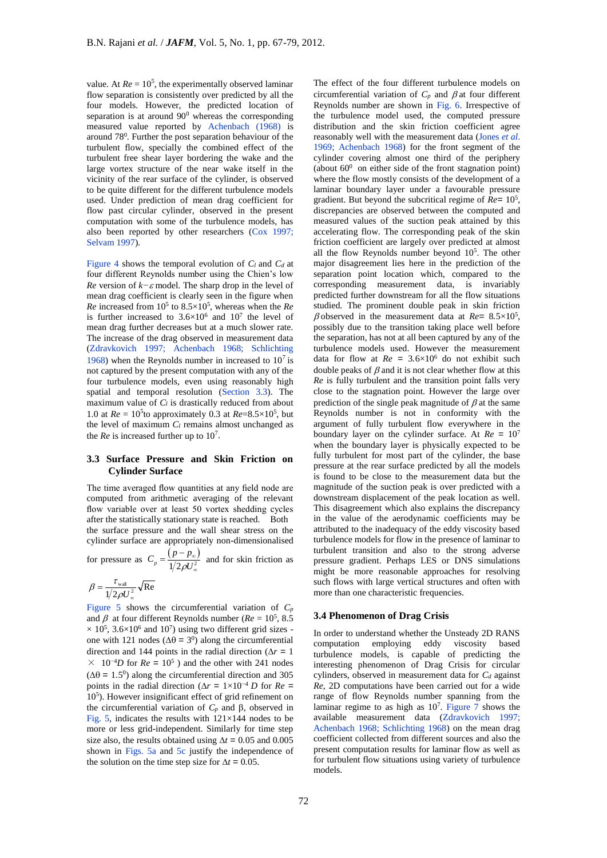value. At  $Re = 10^5$ , the experimentally observed laminar flow separation is consistently over predicted by all the four models. However, the predicted location of separation is at around  $90^{\circ}$  whereas the corresponding measured value reported by Achenbach (1968) is around 78<sup>0</sup> . Further the post separation behaviour of the turbulent flow, specially the combined effect of the turbulent free shear layer bordering the wake and the large vortex structure of the near wake itself in the vicinity of the rear surface of the cylinder, is observed to be quite different for the different turbulence models used. Under prediction of mean drag coefficient for flow past circular cylinder, observed in the present computation with some of the turbulence models, has also been reported by other researchers (Cox 1997; Selvam 1997).

Figure 4 shows the temporal evolution of *Cl* and *Cd* at four different Reynolds number using the Chien's low *Re* version of *k−ε* model. The sharp drop in the level of mean drag coefficient is clearly seen in the figure when *Re* increased from 10<sup>5</sup> to 8.5×10<sup>5</sup> , whereas when the *Re* is further increased to  $3.6 \times 10^6$  and  $10^7$  the level of mean drag further decreases but at a much slower rate. The increase of the drag observed in measurement data (Zdravkovich 1997; Achenbach 1968; Schlichting 1968) when the Reynolds number in increased to  $10^7$  is not captured by the present computation with any of the four turbulence models, even using reasonably high spatial and temporal resolution (Section 3.3). The maximum value of *C<sup>l</sup>* is drastically reduced from about 1.0 at  $Re = 10^5$ to approximately 0.3 at  $Re = 8.5 \times 10^5$ , but the level of maximum  $C_l$  remains almost unchanged as the *Re* is increased further up to  $10^7$ .

## **3.3 Surface Pressure and Skin Friction on Cylinder Surface**

The time averaged flow quantities at any field node are computed from arithmetic averaging of the relevant flow variable over at least 50 vortex shedding cycles after the statistically stationary state is reached. Both the surface pressure and the wall shear stress on the cylinder surface are appropriately non-dimensionalised

for pressure as  $C_n = \frac{(p-p_0)}{(p_0 - p_0)^2}$  $\frac{p}{p} - \frac{1}{2} \rho U_{\infty}^2$  $C_p = \frac{(p - p_0)}{1/2 \rho U}$  $\infty$  $^{\circ}$  $=\frac{(p-p_{\infty})}{(p-p_{\infty})}$  and for skin friction as

$$
\beta = \frac{\tau_{\text{wall}}}{1/2\rho U_{\infty}^2} \sqrt{\text{Re}}
$$

Figure 5 shows the circumferential variation of  $C_p$ and  $\beta$  at four different Reynolds number ( $Re = 10^5$ , 8.5)  $\times$  10<sup>5</sup>, 3.6 $\times$ 10<sup>6</sup> and 10<sup>7</sup>) using two different grid sizes one with 121 nodes ( $\Delta\theta = 3^0$ ) along the circumferential direction and 144 points in the radial direction ( $\Delta r = 1$ )  $\times$  10<sup>-4</sup>D for  $Re = 10^5$ ) and the other with 241 nodes  $(\Delta \theta = 1.5^0)$  along the circumferential direction and 305 points in the radial direction ( $\Delta r = 1 \times 10^{-4}$  *D* for  $Re =$ 10<sup>5</sup> ). However insignificant effect of grid refinement on the circumferential variation of  $C_p$  and  $\beta$ , observed in Fig. 5, indicates the results with  $121\times144$  nodes to be more or less grid-independent. Similarly for time step size also, the results obtained using  $\Delta t = 0.05$  and 0.005 shown in Figs. 5a and 5c justify the independence of the solution on the time step size for  $\Delta t = 0.05$ .

The effect of the four different turbulence models on circumferential variation of  $C_p$  and  $\beta$  at four different Reynolds number are shown in Fig. 6. Irrespective of the turbulence model used, the computed pressure distribution and the skin friction coefficient agree reasonably well with the measurement data (Jones *et al*. 1969; Achenbach 1968) for the front segment of the cylinder covering almost one third of the periphery (about  $60^0$  on either side of the front stagnation point) where the flow mostly consists of the development of a laminar boundary layer under a favourable pressure gradient. But beyond the subcritical regime of *Re=* 10<sup>5</sup> , discrepancies are observed between the computed and measured values of the suction peak attained by this accelerating flow. The corresponding peak of the skin friction coefficient are largely over predicted at almost all the flow Reynolds number beyond  $10<sup>5</sup>$ . The other major disagreement lies here in the prediction of the separation point location which, compared to the corresponding measurement data, is invariably predicted further downstream for all the flow situations studied. The prominent double peak in skin friction  $\beta$  observed in the measurement data at  $Re = 8.5 \times 10^5$ , possibly due to the transition taking place well before the separation, has not at all been captured by any of the turbulence models used. However the measurement data for flow at  $Re = 3.6 \times 10^6$  do not exhibit such double peaks of  $\beta$  and it is not clear whether flow at this *Re* is fully turbulent and the transition point falls very close to the stagnation point. However the large over prediction of the single peak magnitude of  $\beta$  at the same Reynolds number is not in conformity with the argument of fully turbulent flow everywhere in the boundary layer on the cylinder surface. At  $Re = 10^7$ when the boundary layer is physically expected to be fully turbulent for most part of the cylinder, the base pressure at the rear surface predicted by all the models is found to be close to the measurement data but the magnitude of the suction peak is over predicted with a downstream displacement of the peak location as well. This disagreement which also explains the discrepancy in the value of the aerodynamic coefficients may be attributed to the inadequacy of the eddy viscosity based turbulence models for flow in the presence of laminar to turbulent transition and also to the strong adverse pressure gradient. Perhaps LES or DNS simulations might be more reasonable approaches for resolving such flows with large vertical structures and often with more than one characteristic frequencies.

#### **3.4 Phenomenon of Drag Crisis**

In order to understand whether the Unsteady 2D RANS computation employing eddy viscosity based turbulence models, is capable of predicting the interesting phenomenon of Drag Crisis for circular cylinders, observed in measurement data for *C<sup>d</sup>* against *Re*, 2D computations have been carried out for a wide range of flow Reynolds number spanning from the laminar regime to as high as  $10<sup>7</sup>$ . Figure 7 shows the available measurement data (Zdravkovich 1997; Achenbach 1968; Schlichting 1968) on the mean drag coefficient collected from different sources and also the present computation results for laminar flow as well as for turbulent flow situations using variety of turbulence models.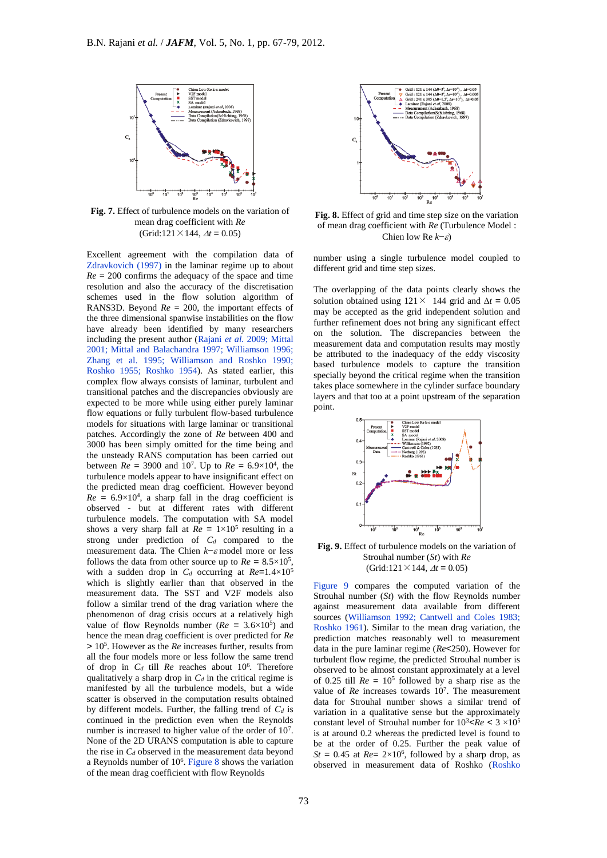

**Fig. 7.** Effect of turbulence models on the variation of mean drag coefficient with *Re* (Grid:121 $\times$ 144,  $\Delta t = 0.05$ )

Excellent agreement with the compilation data of Zdravkovich (1997) in the laminar regime up to about  $Re = 200$  confirms the adequacy of the space and time resolution and also the accuracy of the discretisation schemes used in the flow solution algorithm of RANS3D. Beyond  $Re = 200$ , the important effects of the three dimensional spanwise instabilities on the flow have already been identified by many researchers including the present author (Rajani *et al.* 2009; Mittal 2001; Mittal and Balachandra 1997; Williamson 1996; Zhang et al. 1995; Williamson and Roshko 1990; Roshko 1955; Roshko 1954). As stated earlier, this complex flow always consists of laminar, turbulent and transitional patches and the discrepancies obviously are expected to be more while using either purely laminar flow equations or fully turbulent flow-based turbulence models for situations with large laminar or transitional patches. Accordingly the zone of *Re* between 400 and 3000 has been simply omitted for the time being and the unsteady RANS computation has been carried out between  $Re = 3900$  and  $10^7$ . Up to  $Re = 6.9 \times 10^4$ , the turbulence models appear to have insignificant effect on the predicted mean drag coefficient. However beyond  $Re = 6.9 \times 10^4$ , a sharp fall in the drag coefficient is observed - but at different rates with different turbulence models. The computation with SA model shows a very sharp fall at  $Re = 1 \times 10^5$  resulting in a strong under prediction of *Cd* compared to the measurement data. The Chien *k*−*ε* model more or less follows the data from other source up to  $Re = 8.5 \times 10^5$ , with a sudden drop in  $C_d$  occurring at  $Re=1.4\times10^5$ which is slightly earlier than that observed in the measurement data. The SST and V2F models also follow a similar trend of the drag variation where the phenomenon of drag crisis occurs at a relatively high value of flow Reynolds number ( $Re = 3.6 \times 10^5$ ) and hence the mean drag coefficient is over predicted for *Re >* 10<sup>5</sup> . However as the *Re* increases further, results from all the four models more or less follow the same trend of drop in *C<sup>d</sup>* till *Re* reaches about 10<sup>6</sup> . Therefore qualitatively a sharp drop in  $C_d$  in the critical regime is manifested by all the turbulence models, but a wide scatter is observed in the computation results obtained by different models. Further, the falling trend of *C<sup>d</sup>* is continued in the prediction even when the Reynolds number is increased to higher value of the order of 10<sup>7</sup>. None of the 2D URANS computation is able to capture the rise in *C<sup>d</sup>* observed in the measurement data beyond a Reynolds number of 10<sup>6</sup>. Figure 8 shows the variation of the mean drag coefficient with flow Reynolds



**Fig. 8.** Effect of grid and time step size on the variation of mean drag coefficient with *Re* (Turbulence Model : Chien low Re *k*−ε)

number using a single turbulence model coupled to different grid and time step sizes.

The overlapping of the data points clearly shows the solution obtained using  $121 \times 144$  grid and  $\Delta t = 0.05$ may be accepted as the grid independent solution and further refinement does not bring any significant effect on the solution. The discrepancies between the measurement data and computation results may mostly be attributed to the inadequacy of the eddy viscosity based turbulence models to capture the transition specially beyond the critical regime when the transition takes place somewhere in the cylinder surface boundary layers and that too at a point upstream of the separation point.



**Fig. 9.** Effect of turbulence models on the variation of Strouhal number (*St*) with *Re* (Grid:121 $\times$ 144,  $\Delta t = 0.05$ )

Figure 9 compares the computed variation of the Strouhal number (*St*) with the flow Reynolds number against measurement data available from different sources (Williamson 1992; Cantwell and Coles 1983; Roshko 1961). Similar to the mean drag variation, the prediction matches reasonably well to measurement data in the pure laminar regime (*Re<*250). However for turbulent flow regime, the predicted Strouhal number is observed to be almost constant approximately at a level of 0.25 till  $Re = 10^5$  followed by a sharp rise as the value of *Re* increases towards 10<sup>7</sup>. The measurement data for Strouhal number shows a similar trend of variation in a qualitative sense but the approximately constant level of Strouhal number for  $10^3$  <Re <  $3 \times 10^5$ is at around 0.2 whereas the predicted level is found to be at the order of 0.25. Further the peak value of  $St = 0.45$  at  $Re = 2 \times 10^6$ , followed by a sharp drop, as observed in measurement data of Roshko (Roshko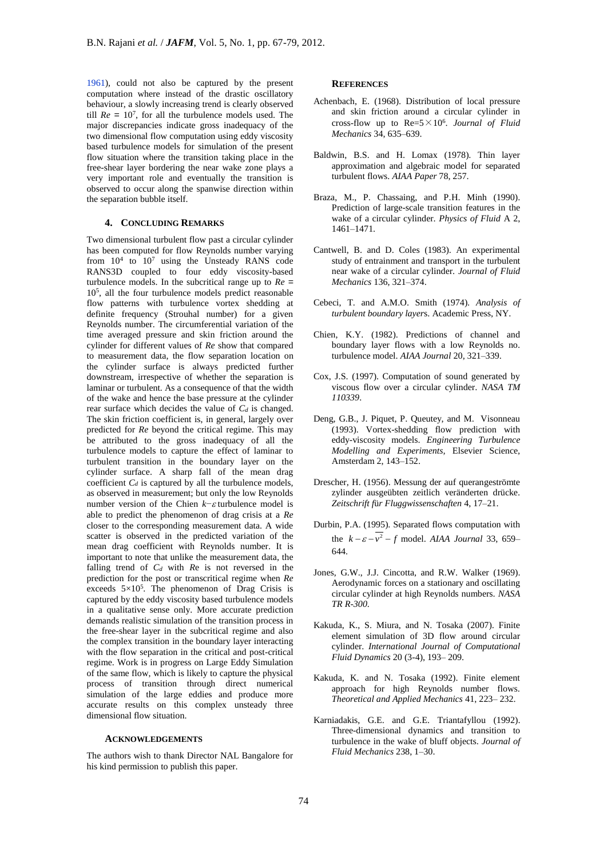1961), could not also be captured by the present computation where instead of the drastic oscillatory behaviour, a slowly increasing trend is clearly observed till  $Re = 10^7$ , for all the turbulence models used. The major discrepancies indicate gross inadequacy of the two dimensional flow computation using eddy viscosity based turbulence models for simulation of the present flow situation where the transition taking place in the free-shear layer bordering the near wake zone plays a very important role and eventually the transition is observed to occur along the spanwise direction within the separation bubble itself.

#### **4. CONCLUDING REMARKS**

Two dimensional turbulent flow past a circular cylinder has been computed for flow Reynolds number varying from  $10^4$  to  $10^7$  using the Unsteady RANS code RANS3D coupled to four eddy viscosity-based turbulence models. In the subcritical range up to *Re =*  10<sup>5</sup> , all the four turbulence models predict reasonable flow patterns with turbulence vortex shedding at definite frequency (Strouhal number) for a given Reynolds number. The circumferential variation of the time averaged pressure and skin friction around the cylinder for different values of *Re* show that compared to measurement data, the flow separation location on the cylinder surface is always predicted further downstream, irrespective of whether the separation is laminar or turbulent. As a consequence of that the width of the wake and hence the base pressure at the cylinder rear surface which decides the value of *C<sup>d</sup>* is changed. The skin friction coefficient is, in general, largely over predicted for *Re* beyond the critical regime. This may be attributed to the gross inadequacy of all the turbulence models to capture the effect of laminar to turbulent transition in the boundary layer on the cylinder surface. A sharp fall of the mean drag coefficient  $C_d$  is captured by all the turbulence models, as observed in measurement; but only the low Reynolds number version of the Chien  $k$ − $\varepsilon$  turbulence model is able to predict the phenomenon of drag crisis at a *Re*  closer to the corresponding measurement data. A wide scatter is observed in the predicted variation of the mean drag coefficient with Reynolds number. It is important to note that unlike the measurement data, the falling trend of  $C_d$  with  $Re$  is not reversed in the prediction for the post or transcritical regime when *Re*  exceeds  $5 \times 10^5$ . The phenomenon of Drag Crisis is captured by the eddy viscosity based turbulence models in a qualitative sense only. More accurate prediction demands realistic simulation of the transition process in the free-shear layer in the subcritical regime and also the complex transition in the boundary layer interacting with the flow separation in the critical and post-critical regime. Work is in progress on Large Eddy Simulation of the same flow, which is likely to capture the physical process of transition through direct numerical simulation of the large eddies and produce more accurate results on this complex unsteady three dimensional flow situation.

#### **ACKNOWLEDGEMENTS**

The authors wish to thank Director NAL Bangalore for his kind permission to publish this paper.

## **REFERENCES**

- Achenbach, E. (1968). Distribution of local pressure and skin friction around a circular cylinder in cross-flow up to  $Re=5 \times 10^6$ . *Journal of Fluid Mechanics* 34, 635–639.
- Baldwin, B.S. and H. Lomax (1978). Thin layer approximation and algebraic model for separated turbulent flows. *AIAA Paper* 78, 257.
- Braza, M., P. Chassaing, and P.H. Minh (1990). Prediction of large-scale transition features in the wake of a circular cylinder. *Physics of Fluid* A 2, 1461–1471.
- Cantwell, B. and D. Coles (1983). An experimental study of entrainment and transport in the turbulent near wake of a circular cylinder. *Journal of Fluid Mechanics* 136, 321–374.
- Cebeci, T. and A.M.O. Smith (1974). *Analysis of turbulent boundary layer*s. Academic Press, NY.
- Chien, K.Y. (1982). Predictions of channel and boundary layer flows with a low Reynolds no. turbulence model. *AIAA Journal* 20, 321–339.
- Cox, J.S. (1997). Computation of sound generated by viscous flow over a circular cylinder. *NASA TM 110339*.
- Deng, G.B., J. Piquet, P. Queutey, and M. Visonneau (1993). Vortex-shedding flow prediction with eddy-viscosity models. *Engineering Turbulence Modelling and Experiments,* Elsevier Science, Amsterdam 2, 143–152.
- Drescher, H. (1956). Messung der auf querangeströmte zylinder ausgeübten zeitlich veränderten drücke. *Zeitschrift f*ü*r Fluggwissenschaften* 4, 17–21.
- Durbin, P.A. (1995). Separated flows computation with the  $k - \varepsilon - v^2 - f$  model. *AIAA Journal* 33, 659– 644.
- Jones, G.W., J.J. Cincotta, and R.W. Walker (1969). Aerodynamic forces on a stationary and oscillating circular cylinder at high Reynolds numbers. *NASA TR R-300*.
- Kakuda, K., S. Miura, and N. Tosaka (2007). Finite element simulation of 3D flow around circular cylinder. *International Journal of Computational Fluid Dynamics* 20 (3-4), 193– 209.
- Kakuda, K. and N. Tosaka (1992). Finite element approach for high Reynolds number flows. *Theoretical and Applied Mechanics* 41, 223– 232.
- Karniadakis, G.E. and G.E. Triantafyllou (1992). Three-dimensional dynamics and transition to turbulence in the wake of bluff objects. *Journal of Fluid Mechanics* 238, 1–30.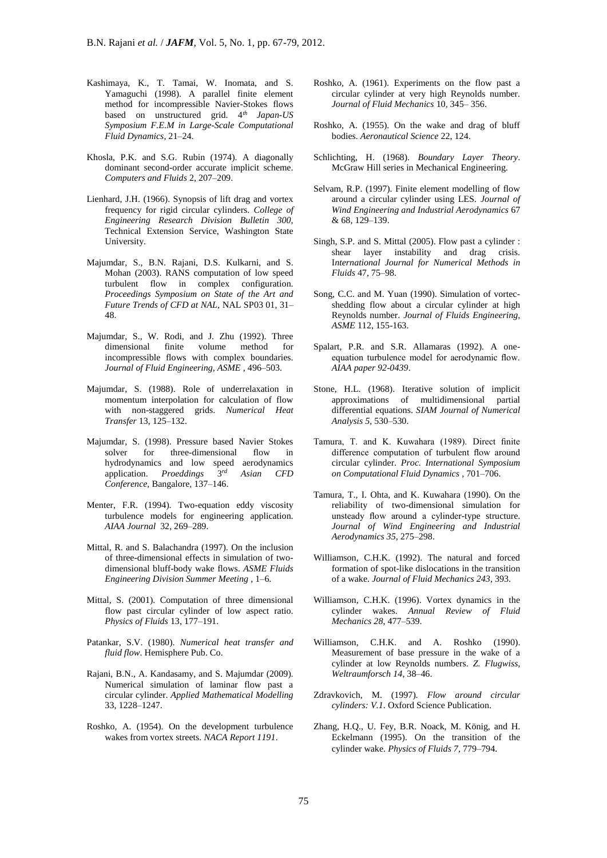- Kashimaya, K., T. Tamai, W. Inomata, and S. Yamaguchi (1998). A parallel finite element method for incompressible Navier-Stokes flows based on unstructured grid. 4*th Japan-US Symposium F.E.M in Large-Scale Computational Fluid Dynamics*, 21–24.
- Khosla, P.K. and S.G. Rubin (1974). A diagonally dominant second-order accurate implicit scheme. *Computers and Fluids* 2, 207–209.
- Lienhard, J.H. (1966). Synopsis of lift drag and vortex frequency for rigid circular cylinders. *College of Engineering Research Division Bulletin 300,*  Technical Extension Service, Washington State University.
- Majumdar, S., B.N. Rajani, D.S. Kulkarni, and S. Mohan (2003). RANS computation of low speed turbulent flow in complex configuration. *Proceedings Symposium on State of the Art and Future Trends of CFD at NAL,* NAL SP03 01, 31– 48.
- Majumdar, S., W. Rodi, and J. Zhu (1992). Three dimensional finite volume method for incompressible flows with complex boundaries. *Journal of Fluid Engineering, ASME* , 496–503.
- Majumdar, S. (1988). Role of underrelaxation in momentum interpolation for calculation of flow with non-staggered grids. *Numerical Heat Transfer* 13, 125–132.
- Majumdar, S. (1998). Pressure based Navier Stokes solver for three-dimensional flow in hydrodynamics and low speed aerodynamics application. *Proeddings* 3<sup>rd</sup>  $A$ *sian CFD Conference,* Bangalore, 137–146.
- Menter, F.R. (1994). Two-equation eddy viscosity turbulence models for engineering application. *AIAA Journal* 32, 269–289.
- Mittal, R. and S. Balachandra (1997). On the inclusion of three-dimensional effects in simulation of twodimensional bluff-body wake flows. *ASME Fluids Engineering Division Summer Meeting* , 1–6.
- Mittal, S. (2001). Computation of three dimensional flow past circular cylinder of low aspect ratio. *Physics of Fluids* 13, 177–191.
- Patankar, S.V. (1980). *Numerical heat transfer and fluid flow*. Hemisphere Pub. Co.
- Rajani, B.N., A. Kandasamy, and S. Majumdar (2009). Numerical simulation of laminar flow past a circular cylinder. *Applied Mathematical Modelling*  33, 1228–1247.
- Roshko, A. (1954). On the development turbulence wakes from vortex streets. *NACA Report 1191*.
- Roshko, A. (1961). Experiments on the flow past a circular cylinder at very high Reynolds number. *Journal of Fluid Mechanics* 10, 345– 356.
- Roshko, A. (1955). On the wake and drag of bluff bodies. *Aeronautical Science* 22, 124.
- Schlichting, H. (1968). *Boundary Layer Theory*. McGraw Hill series in Mechanical Engineering.
- Selvam, R.P. (1997). Finite element modelling of flow around a circular cylinder using LES. *Journal of Wind Engineering and Industrial Aerodynamics* 67 & 68, 129–139.
- Singh, S.P. and S. Mittal (2005). Flow past a cylinder : shear layer instability and drag crisis. I*nternational Journal for Numerical Methods in Fluids* 47, 75–98.
- Song, C.C. and M. Yuan (1990). Simulation of vortecshedding flow about a circular cylinder at high Reynolds number. *Journal of Fluids Engineering, ASME* 112, 155-163.
- Spalart, P.R. and S.R. Allamaras (1992). A oneequation turbulence model for aerodynamic flow. *AIAA paper 92-0439*.
- Stone, H.L. (1968). Iterative solution of implicit approximations of multidimensional partial differential equations. *SIAM Journal of Numerical Analysis 5*, 530–530.
- Tamura, T. and K. Kuwahara (1989). Direct finite difference computation of turbulent flow around circular cylinder. *Proc. International Symposium on Computational Fluid Dynamics* , 701–706.
- Tamura, T., I. Ohta, and K. Kuwahara (1990). On the reliability of two-dimensional simulation for unsteady flow around a cylinder-type structure. *Journal of Wind Engineering and Industrial Aerodynamics 35*, 275–298.
- Williamson, C.H.K. (1992). The natural and forced formation of spot-like dislocations in the transition of a wake. *Journal of Fluid Mechanics 243*, 393.
- Williamson, C.H.K. (1996). Vortex dynamics in the cylinder wakes. *Annual Review of Fluid Mechanics 28*, 477–539.
- Williamson, C.H.K. and A. Roshko (1990). Measurement of base pressure in the wake of a cylinder at low Reynolds numbers. *Z. Flugwiss, Weltraumforsch 14*, 38–46.
- Zdravkovich, M. (1997). *Flow around circular cylinders: V.1*. Oxford Science Publication.
- Zhang, H.Q., U. Fey, B.R. Noack, M. König, and H. Eckelmann (1995). On the transition of the cylinder wake. *Physics of Fluids 7*, 779–794.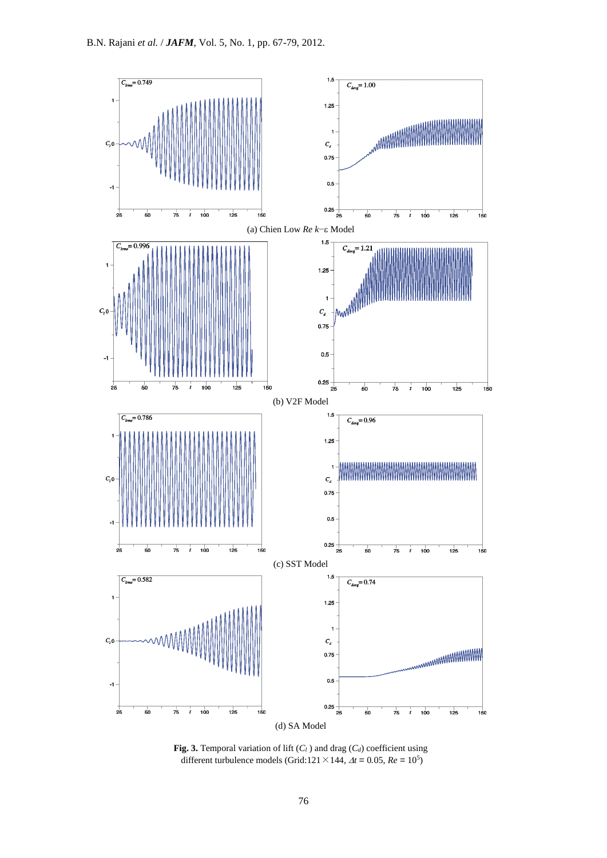

**Fig. 3.** Temporal variation of lift (*C<sup>l</sup>* ) and drag (*Cd*) coefficient using different turbulence models (Grid:121  $\times$  144,  $\Delta t = 0.05$ ,  $Re = 10^5$ )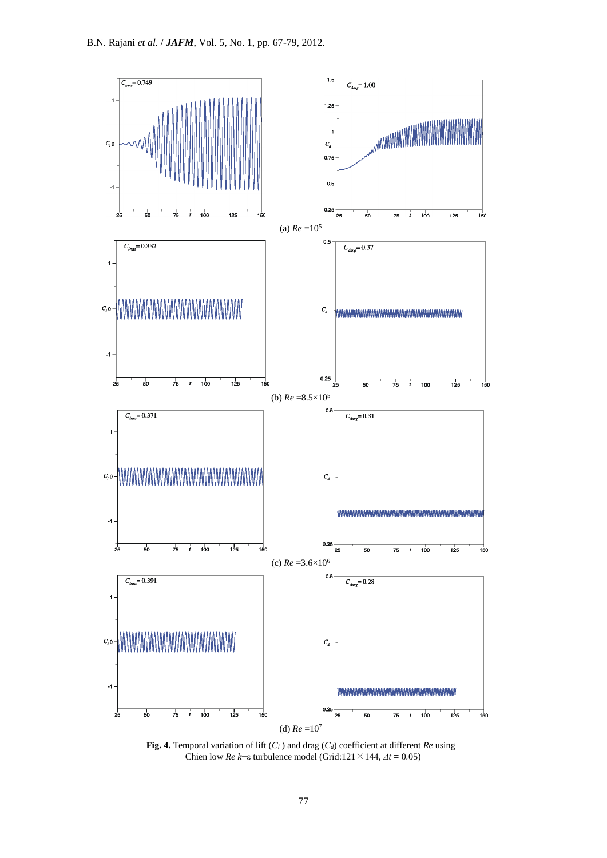

**Fig. 4.** Temporal variation of lift (*C<sup>l</sup>* ) and drag (*Cd*) coefficient at different *Re* using Chien low *Re k*− $\epsilon$  turbulence model (Grid:121×144,  $\Delta t = 0.05$ )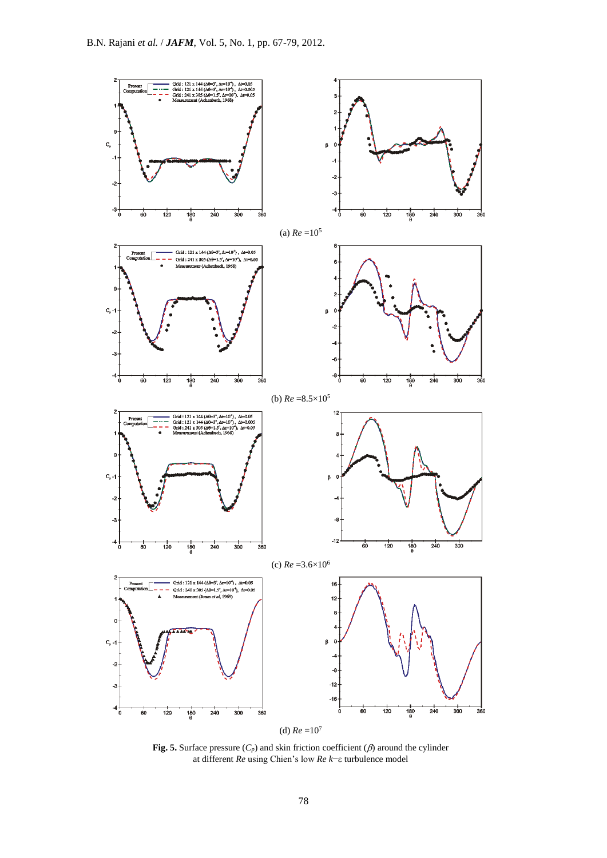

**Fig. 5.** Surface pressure  $(C_p)$  and skin friction coefficient  $(\beta)$  around the cylinder at different *Re* using Chien's low *Re k*− turbulence model